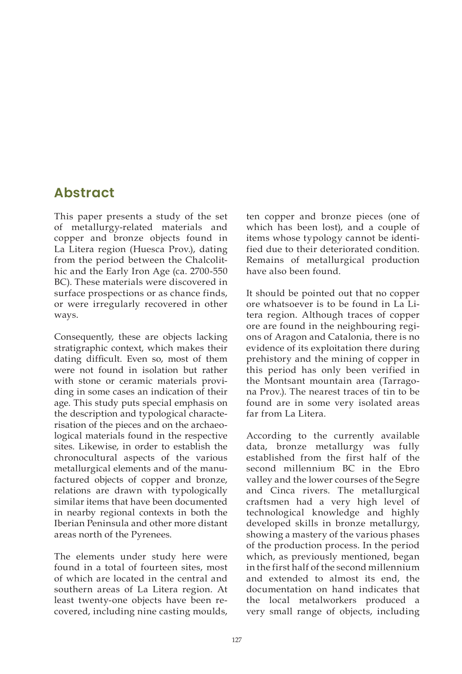## **Abstract**

This paper presents a study of the set of metallurgy-related materials and copper and bronze objects found in La Litera region (Huesca Prov.), dating from the period between the Chalcolithic and the Early Iron Age (ca. 2700-550 BC). These materials were discovered in surface prospections or as chance finds, or were irregularly recovered in other ways.

Consequently, these are objects lacking stratigraphic context, which makes their dating difficult. Even so, most of them were not found in isolation but rather with stone or ceramic materials providing in some cases an indication of their age. This study puts special emphasis on the description and typological characterisation of the pieces and on the archaeological materials found in the respective sites. Likewise, in order to establish the chronocultural aspects of the various metallurgical elements and of the manufactured objects of copper and bronze, relations are drawn with typologically similar items that have been documented in nearby regional contexts in both the Iberian Peninsula and other more distant areas north of the Pyrenees.

The elements under study here were found in a total of fourteen sites, most of which are located in the central and southern areas of La Litera region. At least twenty-one objects have been recovered, including nine casting moulds, ten copper and bronze pieces (one of which has been lost), and a couple of items whose typology cannot be identified due to their deteriorated condition. Remains of metallurgical production have also been found.

It should be pointed out that no copper ore whatsoever is to be found in La Litera region. Although traces of copper ore are found in the neighbouring regions of Aragon and Catalonia, there is no evidence of its exploitation there during prehistory and the mining of copper in this period has only been verified in the Montsant mountain area (Tarragona Prov.). The nearest traces of tin to be found are in some very isolated areas far from La Litera.

According to the currently available data, bronze metallurgy was fully established from the first half of the second millennium BC in the Ebro valley and the lower courses of the Segre and Cinca rivers. The metallurgical craftsmen had a very high level of technological knowledge and highly developed skills in bronze metallurgy, showing a mastery of the various phases of the production process. In the period which, as previously mentioned, began in the first half of the second millennium and extended to almost its end, the documentation on hand indicates that the local metalworkers produced a very small range of objects, including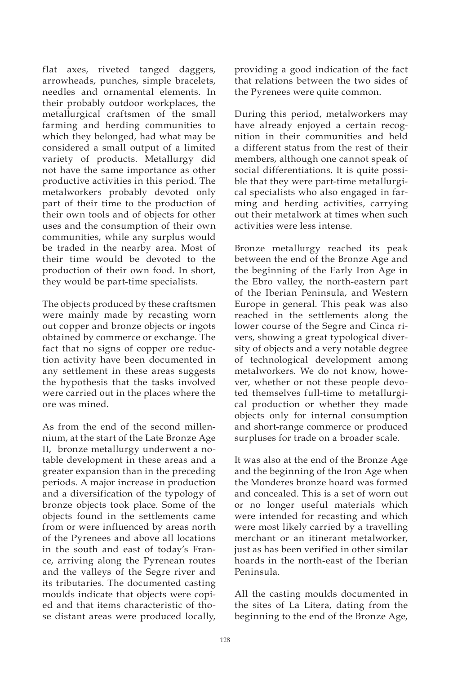flat axes, riveted tanged daggers, arrowheads, punches, simple bracelets, needles and ornamental elements. In their probably outdoor workplaces, the metallurgical craftsmen of the small farming and herding communities to which they belonged, had what may be considered a small output of a limited variety of products. Metallurgy did not have the same importance as other productive activities in this period. The metalworkers probably devoted only part of their time to the production of their own tools and of objects for other uses and the consumption of their own communities, while any surplus would be traded in the nearby area. Most of their time would be devoted to the production of their own food. In short, they would be part-time specialists.

The objects produced by these craftsmen were mainly made by recasting worn out copper and bronze objects or ingots obtained by commerce or exchange. The fact that no signs of copper ore reduction activity have been documented in any settlement in these areas suggests the hypothesis that the tasks involved were carried out in the places where the ore was mined.

As from the end of the second millennium, at the start of the Late Bronze Age II, bronze metallurgy underwent a notable development in these areas and a greater expansion than in the preceding periods. A major increase in production and a diversification of the typology of bronze objects took place. Some of the objects found in the settlements came from or were influenced by areas north of the Pyrenees and above all locations in the south and east of today's France, arriving along the Pyrenean routes and the valleys of the Segre river and its tributaries. The documented casting moulds indicate that objects were copied and that items characteristic of those distant areas were produced locally,

providing a good indication of the fact that relations between the two sides of the Pyrenees were quite common.

During this period, metalworkers may have already enjoyed a certain recognition in their communities and held a different status from the rest of their members, although one cannot speak of social differentiations. It is quite possible that they were part-time metallurgical specialists who also engaged in farming and herding activities, carrying out their metalwork at times when such activities were less intense.

Bronze metallurgy reached its peak between the end of the Bronze Age and the beginning of the Early Iron Age in the Ebro valley, the north-eastern part of the Iberian Peninsula, and Western Europe in general. This peak was also reached in the settlements along the lower course of the Segre and Cinca rivers, showing a great typological diversity of objects and a very notable degree of technological development among metalworkers. We do not know, however, whether or not these people devoted themselves full-time to metallurgical production or whether they made objects only for internal consumption and short-range commerce or produced surpluses for trade on a broader scale.

It was also at the end of the Bronze Age and the beginning of the Iron Age when the Monderes bronze hoard was formed and concealed. This is a set of worn out or no longer useful materials which were intended for recasting and which were most likely carried by a travelling merchant or an itinerant metalworker, just as has been verified in other similar hoards in the north-east of the Iberian Peninsula.

All the casting moulds documented in the sites of La Litera, dating from the beginning to the end of the Bronze Age,